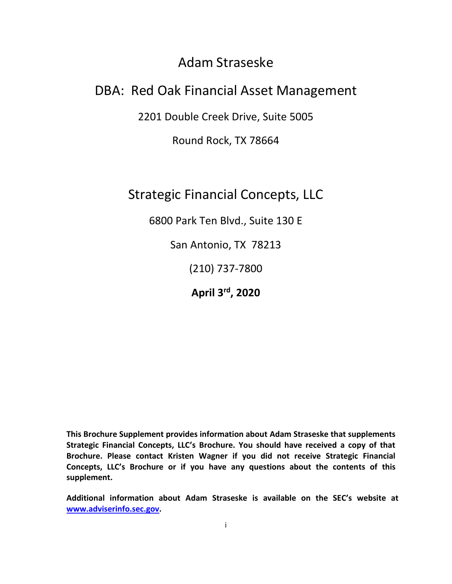# Adam Straseske

# DBA: Red Oak Financial Asset Management

2201 Double Creek Drive, Suite 5005

Round Rock, TX 78664

Strategic Financial Concepts, LLC

6800 Park Ten Blvd., Suite 130 E

San Antonio, TX 78213

(210) 737-7800

**April 3rd, 2020**

**This Brochure Supplement provides information about Adam Straseske that supplements Strategic Financial Concepts, LLC's Brochure. You should have received a copy of that Brochure. Please contact Kristen Wagner if you did not receive Strategic Financial Concepts, LLC's Brochure or if you have any questions about the contents of this supplement.** 

**Additional information about Adam Straseske is available on the SEC's website at [www.adviserinfo.sec.gov.](http://www.adviserinfo.sec.gov/)**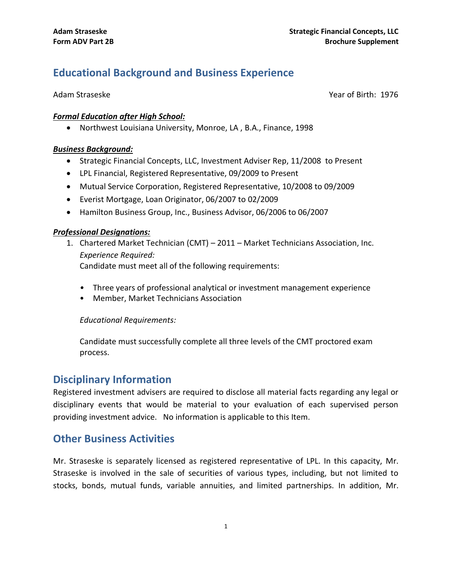# **Educational Background and Business Experience**

Adam Straseske Year of Birth: 1976

#### *Formal Education after High School:*

• Northwest Louisiana University, Monroe, LA , B.A., Finance, 1998

#### *Business Background:*

- Strategic Financial Concepts, LLC, Investment Adviser Rep, 11/2008 to Present
- LPL Financial, Registered Representative, 09/2009 to Present
- Mutual Service Corporation, Registered Representative, 10/2008 to 09/2009
- Everist Mortgage, Loan Originator, 06/2007 to 02/2009
- Hamilton Business Group, Inc., Business Advisor, 06/2006 to 06/2007

#### *Professional Designations:*

1. Chartered Market Technician (CMT) – 2011 – Market Technicians Association, Inc. *Experience Required:*

Candidate must meet all of the following requirements:

- *•* Three years of professional analytical or investment management experience
- Member, Market Technicians Association

#### *Educational Requirements:*

Candidate must successfully complete all three levels of the CMT proctored exam process.

## **Disciplinary Information**

Registered investment advisers are required to disclose all material facts regarding any legal or disciplinary events that would be material to your evaluation of each supervised person providing investment advice. No information is applicable to this Item.

## **Other Business Activities**

Mr. Straseske is separately licensed as registered representative of LPL. In this capacity, Mr. Straseske is involved in the sale of securities of various types, including, but not limited to stocks, bonds, mutual funds, variable annuities, and limited partnerships. In addition, Mr.